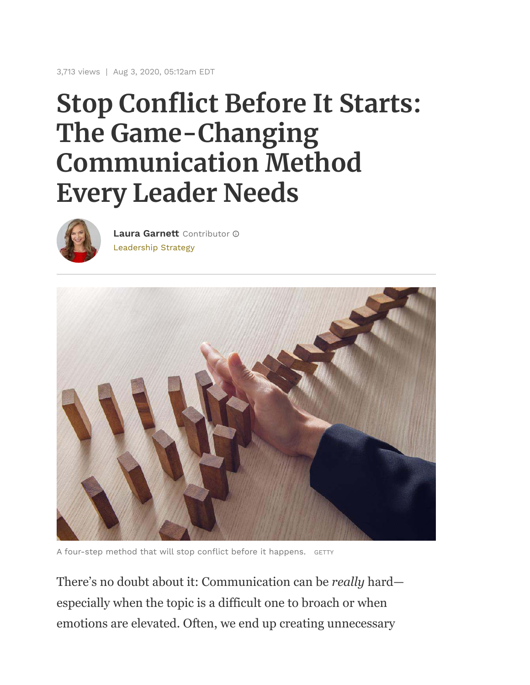3,713 views | Aug 3, 2020, 05:12am EDT

## **Stop Conflict Before It Starts: The Game-Changing Communication Method Every Leader Needs**



[Leadership Strategy](https://www.forbes.com/leadership-strategy) **[Laura Garne](https://www.forbes.com/sites/lauragarnett/)tt** Contributor  $\odot$ 



A four-step method that will stop conflict before it happens. GETTY

There's no doubt about it: Communication can be *really* hard especially when the topic is a difficult one to broach or when emotions are elevated. Often, we end up creating unnecessary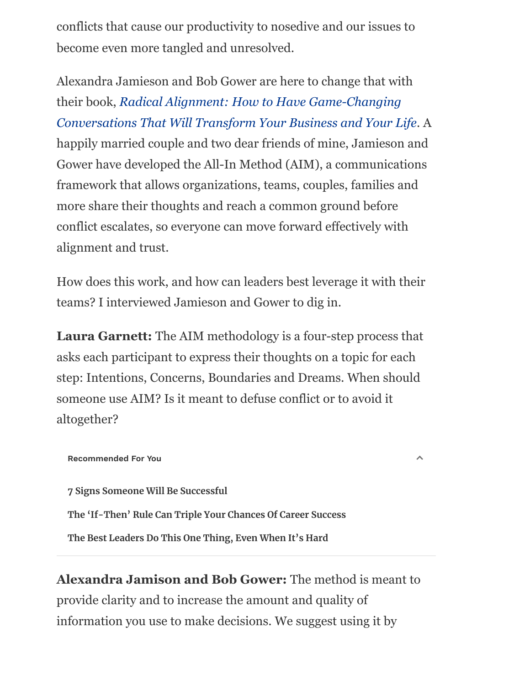conflicts that cause our productivity to nosedive and our issues to become even more tangled and unresolved.

Alexandra Jamieson and Bob Gower are here to change that with their book, *Radical Alignment: How to Have Game-Changing [Conversations That Will Transform Your Business and Your Life](https://www.goodreads.com/book/show/52079355-radical-alignment)*. A happily married couple and two dear friends of mine, Jamieson and Gower have developed the All-In Method (AIM), a communications framework that allows organizations, teams, couples, families and more share their thoughts and reach a common ground before conflict escalates, so everyone can move forward effectively with alignment and trust.

How does this work, and how can leaders best leverage it with their teams? I interviewed Jamieson and Gower to dig in.

**Laura Garnett:** The AIM methodology is a four-step process that asks each participant to express their thoughts on a topic for each step: Intentions, Concerns, Boundaries and Dreams. When should someone use AIM? Is it meant to defuse conflict or to avoid it altogether?

 $\hat{\phantom{1}}$ 

## **Recommended For You**

**[7 Signs Someone Will Be Successful](https://www.forbes.com/sites/jodiecook/2020/08/03/7-signs-someone-will-be-successful/) [The 'If-Then' Rule Can Triple Your Chances Of Career Success](https://www.forbes.com/sites/bryanrobinson/2020/08/02/the-if-then-rule-can-triple-your-chances-of-career-success/) [The Best Leaders Do This One Thing, Even When It's Hard](https://www.forbes.com/sites/amyblaschka/2020/08/03/the-best-leaders-do-this-one-thing-even-when-its-hard/)**

**Alexandra Jamison and Bob Gower:** The method is meant to provide clarity and to increase the amount and quality of information you use to make decisions. We suggest using it by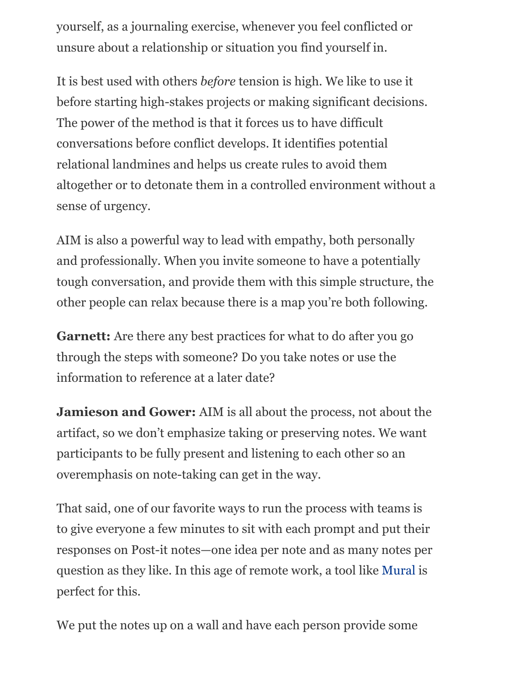yourself, as a journaling exercise, whenever you feel conflicted or unsure about a relationship or situation you find yourself in.

It is best used with others *before* tension is high. We like to use it before starting high-stakes projects or making significant decisions. The power of the method is that it forces us to have difficult conversations before conflict develops. It identifies potential relational landmines and helps us create rules to avoid them altogether or to detonate them in a controlled environment without a sense of urgency.

AIM is also a powerful way to lead with empathy, both personally and professionally. When you invite someone to have a potentially tough conversation, and provide them with this simple structure, the other people can relax because there is a map you're both following.

Garnett: Are there any best practices for what to do after you go through the steps with someone? Do you take notes or use the information to reference at a later date?

**Jamieson and Gower:** AIM is all about the process, not about the artifact, so we don't emphasize taking or preserving notes. We want participants to be fully present and listening to each other so an overemphasis on note-taking can get in the way.

That said, one of our favorite ways to run the process with teams is to give everyone a few minutes to sit with each prompt and put their responses on Post-it notes—one idea per note and as many notes per question as they like. In this age of remote work, a tool like [Mural](https://www.mural.co/) is perfect for this.

We put the notes up on a wall and have each person provide some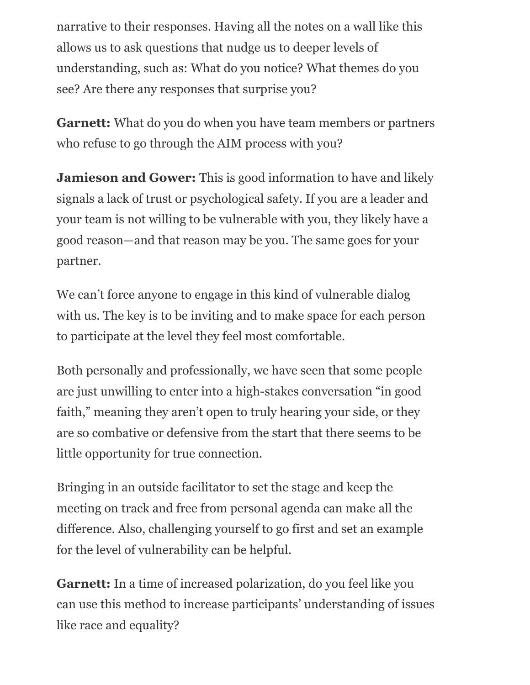narrative to their responses. Having all the notes on a wall like this allows us to ask questions that nudge us to deeper levels of understanding, such as: What do you notice? What themes do you see? Are there any responses that surprise you?

**Garnett:** What do you do when you have team members or partners who refuse to go through the AIM process with you?

**Jamieson and Gower:** This is good information to have and likely signals a lack of trust or psychological safety. If you are a leader and your team is not willing to be vulnerable with you, they likely have a good reason—and that reason may be you. The same goes for your partner.

We can't force anyone to engage in this kind of vulnerable dialog with us. The key is to be inviting and to make space for each person to participate at the level they feel most comfortable.

Both personally and professionally, we have seen that some people are just unwilling to enter into a high-stakes conversation "in good faith," meaning they aren't open to truly hearing your side, or they are so combative or defensive from the start that there seems to be little opportunity for true connection.

Bringing in an outside facilitator to set the stage and keep the meeting on track and free from personal agenda can make all the difference. Also, challenging yourself to go first and set an example for the level of vulnerability can be helpful.

**Garnett:** In a time of increased polarization, do you feel like you can use this method to increase participants' understanding of issues like race and equality?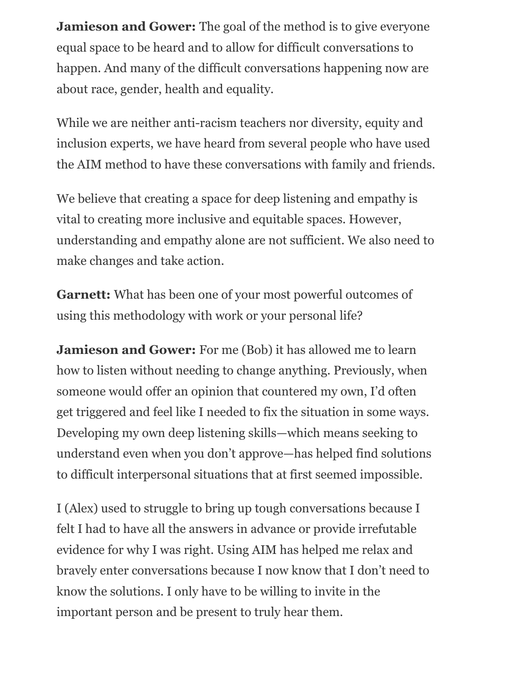**Jamieson and Gower:** The goal of the method is to give everyone equal space to be heard and to allow for difficult conversations to happen. And many of the difficult conversations happening now are about race, gender, health and equality.

While we are neither anti-racism teachers nor diversity, equity and inclusion experts, we have heard from several people who have used the AIM method to have these conversations with family and friends.

We believe that creating a space for deep listening and empathy is vital to creating more inclusive and equitable spaces. However, understanding and empathy alone are not sufficient. We also need to make changes and take action.

**Garnett:** What has been one of your most powerful outcomes of using this methodology with work or your personal life?

**Jamieson and Gower:** For me (Bob) it has allowed me to learn how to listen without needing to change anything. Previously, when someone would offer an opinion that countered my own, I'd often get triggered and feel like I needed to fix the situation in some ways. Developing my own deep listening skills—which means seeking to understand even when you don't approve—has helped find solutions to difficult interpersonal situations that at first seemed impossible.

I (Alex) used to struggle to bring up tough conversations because I felt I had to have all the answers in advance or provide irrefutable evidence for why I was right. Using AIM has helped me relax and bravely enter conversations because I now know that I don't need to know the solutions. I only have to be willing to invite in the important person and be present to truly hear them.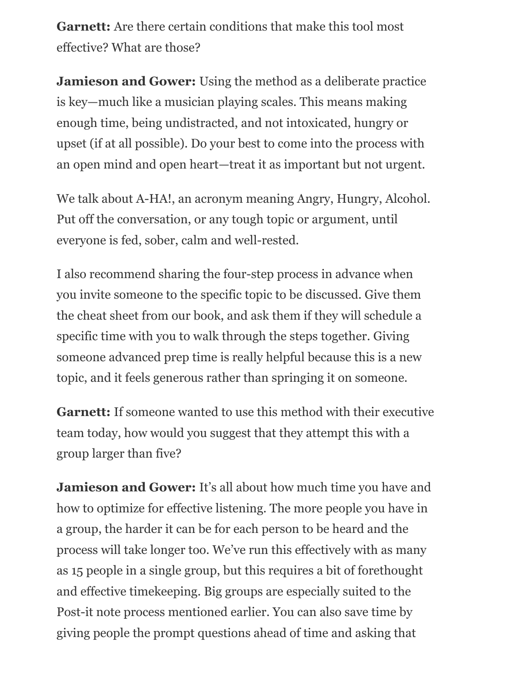**Garnett:** Are there certain conditions that make this tool most effective? What are those?

**Jamieson and Gower:** Using the method as a deliberate practice is key—much like a musician playing scales. This means making enough time, being undistracted, and not intoxicated, hungry or upset (if at all possible). Do your best to come into the process with an open mind and open heart—treat it as important but not urgent.

We talk about A-HA!, an acronym meaning Angry, Hungry, Alcohol. Put off the conversation, or any tough topic or argument, until everyone is fed, sober, calm and well-rested.

I also recommend sharing the four-step process in advance when you invite someone to the specific topic to be discussed. Give them the cheat sheet from our book, and ask them if they will schedule a specific time with you to walk through the steps together. Giving someone advanced prep time is really helpful because this is a new topic, and it feels generous rather than springing it on someone.

**Garnett:** If someone wanted to use this method with their executive team today, how would you suggest that they attempt this with a group larger than five?

**Jamieson and Gower:** It's all about how much time you have and how to optimize for effective listening. The more people you have in a group, the harder it can be for each person to be heard and the process will take longer too. We've run this effectively with as many as 15 people in a single group, but this requires a bit of forethought and effective timekeeping. Big groups are especially suited to the Post-it note process mentioned earlier. You can also save time by giving people the prompt questions ahead of time and asking that